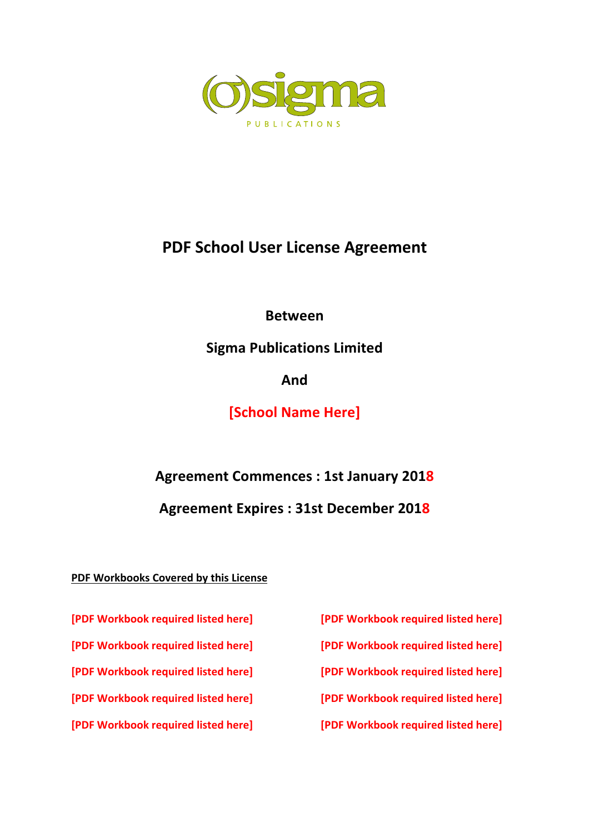

# **PDF School User License Agreement**

**Between**

**Sigma Publications Limited**

**And**

**[School Name Here]**

**Agreement Commences : 1st January 2018**

**Agreement Expires : 31st December 2018** 

### **PDF Workbooks Covered by this License**

**[PDF Workbook required listed here] [PDF Workbook required listed here]**

**[PDF Workbook required listed here] [PDF Workbook required listed here]**

**[PDF Workbook required listed here] [PDF Workbook required listed here]**

**[PDF Workbook required listed here] [PDF Workbook required listed here]**

**[PDF Workbook required listed here] [PDF Workbook required listed here]**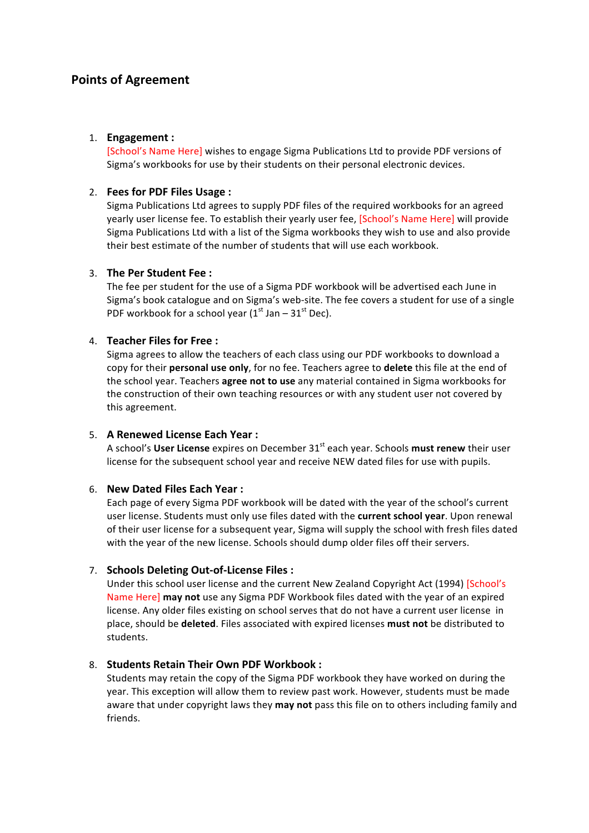### **Points of Agreement**

#### 1. **Engagement**:

[School's Name Here] wishes to engage Sigma Publications Ltd to provide PDF versions of Sigma's workbooks for use by their students on their personal electronic devices.

#### 2. **Fees for PDF Files Usage:**

Sigma Publications Ltd agrees to supply PDF files of the required workbooks for an agreed yearly user license fee. To establish their yearly user fee, [School's Name Here] will provide Sigma Publications Ltd with a list of the Sigma workbooks they wish to use and also provide their best estimate of the number of students that will use each workbook.

#### 3. **The Per Student Fee:**

The fee per student for the use of a Sigma PDF workbook will be advertised each June in Sigma's book catalogue and on Sigma's web-site. The fee covers a student for use of a single PDF workbook for a school year  $(1<sup>st</sup>$  Jan – 31 $<sup>st</sup>$  Dec).</sup>

#### 4. **Teacher Files for Free:**

Sigma agrees to allow the teachers of each class using our PDF workbooks to download a copy for their **personal use only**, for no fee. Teachers agree to **delete** this file at the end of the school year. Teachers **agree not to use** any material contained in Sigma workbooks for the construction of their own teaching resources or with any student user not covered by this agreement.

#### 5. **A Renewed License Each Year :**

A school's User License expires on December 31<sup>st</sup> each year. Schools must renew their user license for the subsequent school year and receive NEW dated files for use with pupils.

#### 6. **New Dated Files Each Year :**

Each page of every Sigma PDF workbook will be dated with the year of the school's current user license. Students must only use files dated with the **current school year**. Upon renewal of their user license for a subsequent year, Sigma will supply the school with fresh files dated with the year of the new license. Schools should dump older files off their servers.

#### 7. **Schools Deleting Out-of-License Files:**

Under this school user license and the current New Zealand Copyright Act (1994) [School's Name Here] may not use any Sigma PDF Workbook files dated with the year of an expired license. Any older files existing on school serves that do not have a current user license in place, should be **deleted**. Files associated with expired licenses **must not** be distributed to students.

#### 8. **Students Retain Their Own PDF Workbook:**

Students may retain the copy of the Sigma PDF workbook they have worked on during the year. This exception will allow them to review past work. However, students must be made aware that under copyright laws they may not pass this file on to others including family and friends.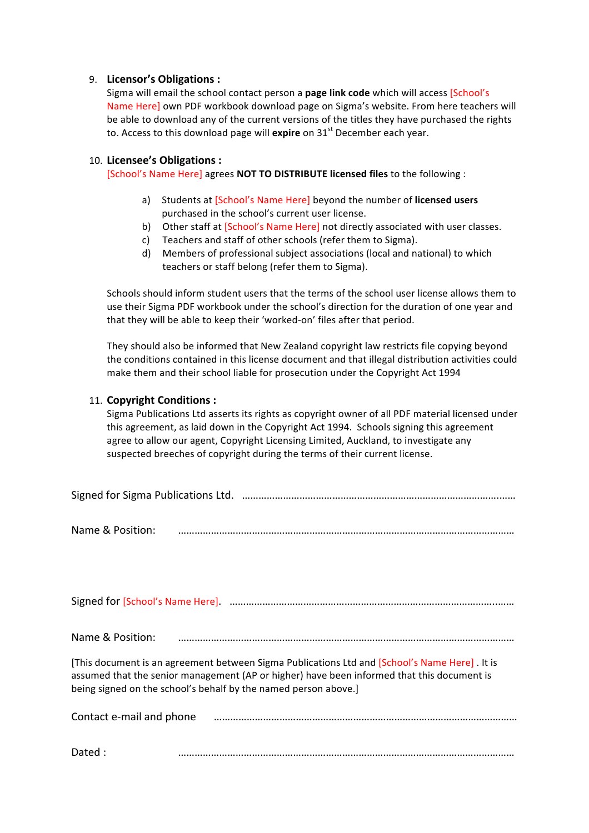#### 9. Licensor's Obligations :

Sigma will email the school contact person a **page link code** which will access [School's Name Here] own PDF workbook download page on Sigma's website. From here teachers will be able to download any of the current versions of the titles they have purchased the rights to. Access to this download page will **expire** on 31<sup>st</sup> December each year.

#### 10. Licensee's Obligations :

[School's Name Here] agrees **NOT TO DISTRIBUTE licensed files** to the following :

- a) Students at [School's Name Here] beyond the number of **licensed users** purchased in the school's current user license.
- b) Other staff at [School's Name Here] not directly associated with user classes.
- c) Teachers and staff of other schools (refer them to Sigma).
- d) Members of professional subject associations (local and national) to which teachers or staff belong (refer them to Sigma).

Schools should inform student users that the terms of the school user license allows them to use their Sigma PDF workbook under the school's direction for the duration of one year and that they will be able to keep their 'worked-on' files after that period.

They should also be informed that New Zealand copyright law restricts file copying beyond the conditions contained in this license document and that illegal distribution activities could make them and their school liable for prosecution under the Copyright Act 1994

#### 11. **Copyright Conditions** :

Sigma Publications Ltd asserts its rights as copyright owner of all PDF material licensed under this agreement, as laid down in the Copyright Act 1994. Schools signing this agreement agree to allow our agent, Copyright Licensing Limited, Auckland, to investigate any suspected breeches of copyright during the terms of their current license.

| Signed for Sigma Publications Ltd. (a) measure manufacture manufacture manufacture manufacture manufacture |
|------------------------------------------------------------------------------------------------------------|
|                                                                                                            |

Name & Position: ……………………………………………………………………………………………………………

Signed for [School's Name Here]. ……………………………………………………………………………………..……

Name & Position: ……………………………………………………………………………………………………………

[This document is an agreement between Sigma Publications Ltd and [School's Name Here] . It is assumed that the senior management (AP or higher) have been informed that this document is being signed on the school's behalf by the named person above.]

| Contact e-mail and phone |  |  |  |  |  |  |  |  |
|--------------------------|--|--|--|--|--|--|--|--|
|                          |  |  |  |  |  |  |  |  |
| Dated:                   |  |  |  |  |  |  |  |  |
|                          |  |  |  |  |  |  |  |  |